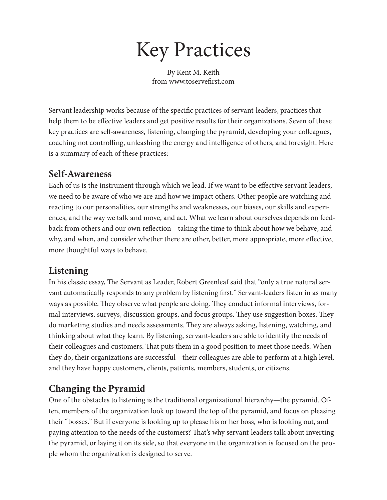# Key Practices

By Kent M. Keith from www.toservefirst.com

Servant leadership works because of the specific practices of servant-leaders, practices that help them to be effective leaders and get positive results for their organizations. Seven of these key practices are self-awareness, listening, changing the pyramid, developing your colleagues, coaching not controlling, unleashing the energy and intelligence of others, and foresight. Here is a summary of each of these practices:

#### **Self-Awareness**

Each of us is the instrument through which we lead. If we want to be effective servant-leaders, we need to be aware of who we are and how we impact others. Other people are watching and reacting to our personalities, our strengths and weaknesses, our biases, our skills and experiences, and the way we talk and move, and act. What we learn about ourselves depends on feedback from others and our own reflection—taking the time to think about how we behave, and why, and when, and consider whether there are other, better, more appropriate, more effective, more thoughtful ways to behave.

#### **Listening**

In his classic essay, The Servant as Leader, Robert Greenleaf said that "only a true natural servant automatically responds to any problem by listening first." Servant-leaders listen in as many ways as possible. They observe what people are doing. They conduct informal interviews, formal interviews, surveys, discussion groups, and focus groups. They use suggestion boxes. They do marketing studies and needs assessments. They are always asking, listening, watching, and thinking about what they learn. By listening, servant-leaders are able to identify the needs of their colleagues and customers. That puts them in a good position to meet those needs. When they do, their organizations are successful—their colleagues are able to perform at a high level, and they have happy customers, clients, patients, members, students, or citizens.

# **Changing the Pyramid**

One of the obstacles to listening is the traditional organizational hierarchy—the pyramid. Often, members of the organization look up toward the top of the pyramid, and focus on pleasing their "bosses." But if everyone is looking up to please his or her boss, who is looking out, and paying attention to the needs of the customers? That's why servant-leaders talk about inverting the pyramid, or laying it on its side, so that everyone in the organization is focused on the people whom the organization is designed to serve.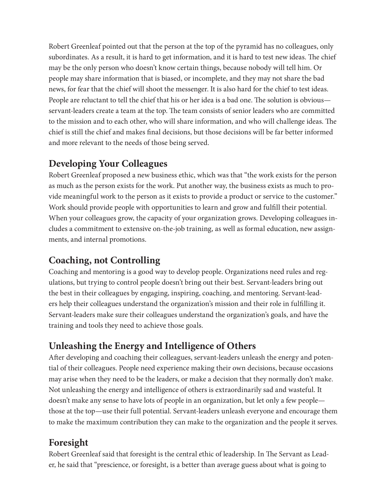Robert Greenleaf pointed out that the person at the top of the pyramid has no colleagues, only subordinates. As a result, it is hard to get information, and it is hard to test new ideas. The chief may be the only person who doesn't know certain things, because nobody will tell him. Or people may share information that is biased, or incomplete, and they may not share the bad news, for fear that the chief will shoot the messenger. It is also hard for the chief to test ideas. People are reluctant to tell the chief that his or her idea is a bad one. The solution is obvious servant-leaders create a team at the top. The team consists of senior leaders who are committed to the mission and to each other, who will share information, and who will challenge ideas. The chief is still the chief and makes final decisions, but those decisions will be far better informed and more relevant to the needs of those being served.

#### **Developing Your Colleagues**

Robert Greenleaf proposed a new business ethic, which was that "the work exists for the person as much as the person exists for the work. Put another way, the business exists as much to provide meaningful work to the person as it exists to provide a product or service to the customer." Work should provide people with opportunities to learn and grow and fulfill their potential. When your colleagues grow, the capacity of your organization grows. Developing colleagues includes a commitment to extensive on-the-job training, as well as formal education, new assignments, and internal promotions.

## **Coaching, not Controlling**

Coaching and mentoring is a good way to develop people. Organizations need rules and regulations, but trying to control people doesn't bring out their best. Servant-leaders bring out the best in their colleagues by engaging, inspiring, coaching, and mentoring. Servant-leaders help their colleagues understand the organization's mission and their role in fulfilling it. Servant-leaders make sure their colleagues understand the organization's goals, and have the training and tools they need to achieve those goals.

# **Unleashing the Energy and Intelligence of Others**

After developing and coaching their colleagues, servant-leaders unleash the energy and potential of their colleagues. People need experience making their own decisions, because occasions may arise when they need to be the leaders, or make a decision that they normally don't make. Not unleashing the energy and intelligence of others is extraordinarily sad and wasteful. It doesn't make any sense to have lots of people in an organization, but let only a few people those at the top—use their full potential. Servant-leaders unleash everyone and encourage them to make the maximum contribution they can make to the organization and the people it serves.

## **Foresight**

Robert Greenleaf said that foresight is the central ethic of leadership. In The Servant as Leader, he said that "prescience, or foresight, is a better than average guess about what is going to